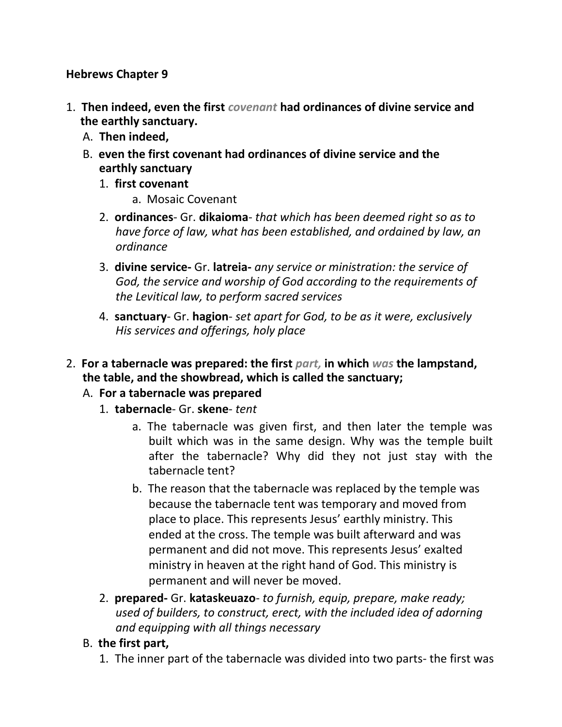#### **Hebrews Chapter 9**

- 1. **Then indeed, even the first** *covenant* **had ordinances of divine service and the earthly sanctuary.**
	- A. **Then indeed,**
	- B. **even the first covenant had ordinances of divine service and the earthly sanctuary**
		- 1. **first covenant**
			- a. Mosaic Covenant
		- 2. **ordinances** Gr. **dikaioma** *that which has been deemed right so as to have force of law, what has been established, and ordained by law, an ordinance*
		- 3. **divine service-** Gr. **latreia-** *any service or ministration: the service of God, the service and worship of God according to the requirements of the Levitical law, to perform sacred services*
		- 4. **sanctuary** Gr. **hagion** *set apart for God, to be as it were, exclusively His services and offerings, holy place*
- 2. **For a tabernacle was prepared: the first** *part,* **in which** *was* **the lampstand, the table, and the showbread, which is called the sanctuary;**

### A. **For a tabernacle was prepared**

- 1. **tabernacle** Gr. **skene** *tent*
	- a. The tabernacle was given first, and then later the temple was built which was in the same design. Why was the temple built after the tabernacle? Why did they not just stay with the tabernacle tent?
	- b. The reason that the tabernacle was replaced by the temple was because the tabernacle tent was temporary and moved from place to place. This represents Jesus' earthly ministry. This ended at the cross. The temple was built afterward and was permanent and did not move. This represents Jesus' exalted ministry in heaven at the right hand of God. This ministry is permanent and will never be moved.
- 2. **prepared-** Gr. **kataskeuazo** *to furnish, equip, prepare, make ready; used of builders, to construct, erect, with the included idea of adorning and equipping with all things necessary*

## B. **the first part,**

1. The inner part of the tabernacle was divided into two parts- the first was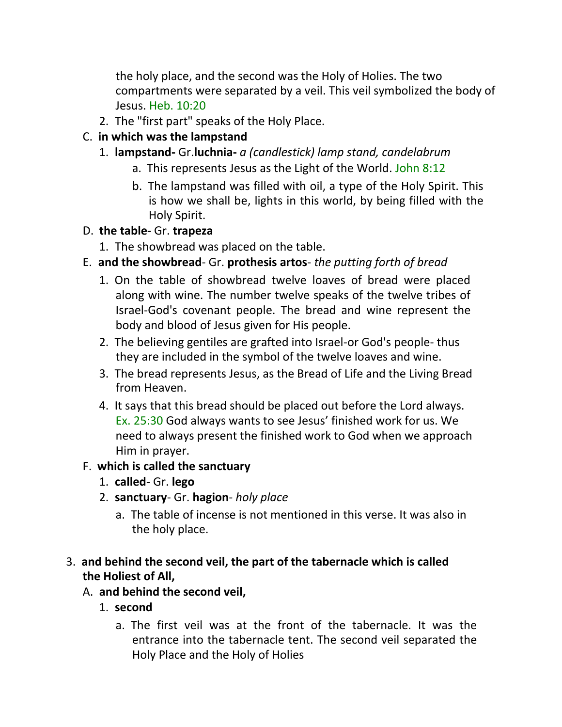the holy place, and the second was the Holy of Holies. The two compartments were separated by a veil. This veil symbolized the body of Jesus. Heb. 10:20

2. The "first part" speaks of the Holy Place.

### C. **in which was the lampstand**

- 1. **lampstand-** Gr.**luchnia-** *a (candlestick) lamp stand, candelabrum*
	- a. This represents Jesus as the Light of the World. John 8:12
	- b. The lampstand was filled with oil, a type of the Holy Spirit. This is how we shall be, lights in this world, by being filled with the Holy Spirit.

## D. **the table-** Gr. **trapeza**

- 1. The showbread was placed on the table.
- E. **and the showbread** Gr. **prothesis artos** *the putting forth of bread*
	- 1. On the table of showbread twelve loaves of bread were placed along with wine. The number twelve speaks of the twelve tribes of Israel-God's covenant people. The bread and wine represent the body and blood of Jesus given for His people.
	- 2. The believing gentiles are grafted into Israel-or God's people- thus they are included in the symbol of the twelve loaves and wine.
	- 3. The bread represents Jesus, as the Bread of Life and the Living Bread from Heaven.
	- 4. It says that this bread should be placed out before the Lord always. Ex. 25:30 God always wants to see Jesus' finished work for us. We need to always present the finished work to God when we approach Him in prayer.

## F. **which is called the sanctuary**

- 1. **called** Gr. **lego**
- 2. **sanctuary** Gr. **hagion** *holy place*
	- a. The table of incense is not mentioned in this verse. It was also in the holy place.

## 3. **and behind the second veil, the part of the tabernacle which is called the Holiest of All,**

- A. **and behind the second veil,**
	- 1. **second**
		- a. The first veil was at the front of the tabernacle. It was the entrance into the tabernacle tent. The second veil separated the Holy Place and the Holy of Holies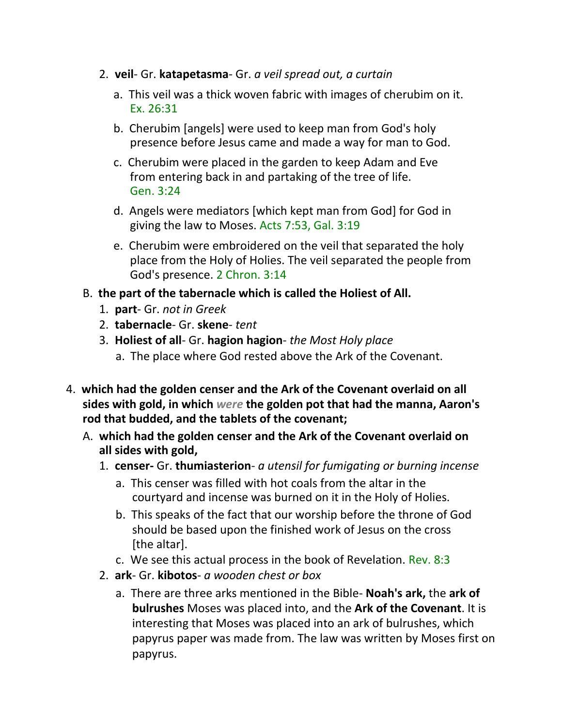- 2. **veil** Gr. **katapetasma** Gr. *a veil spread out, a curtain*
	- a. This veil was a thick woven fabric with images of cherubim on it. Ex. 26:31
	- b. Cherubim [angels] were used to keep man from God's holy presence before Jesus came and made a way for man to God.
	- c. Cherubim were placed in the garden to keep Adam and Eve from entering back in and partaking of the tree of life. Gen. 3:24
	- d. Angels were mediators [which kept man from God] for God in giving the law to Moses. Acts 7:53, Gal. 3:19
	- e. Cherubim were embroidered on the veil that separated the holy place from the Holy of Holies. The veil separated the people from God's presence. 2 Chron. 3:14
- B. **the part of the tabernacle which is called the Holiest of All.**
	- 1. **part** Gr. *not in Greek*
	- 2. **tabernacle** Gr. **skene** *tent*
	- 3. **Holiest of all** Gr. **hagion hagion** *the Most Holy place*
		- a. The place where God rested above the Ark of the Covenant.
- 4. **which had the golden censer and the Ark of the Covenant overlaid on all sides with gold, in which** *were* **the golden pot that had the manna, Aaron's rod that budded, and the tablets of the covenant;**
	- A. **which had the golden censer and the Ark of the Covenant overlaid on all sides with gold,**
		- 1. **censer-** Gr. **thumiasterion** *a utensil for fumigating or burning incense*
			- a. This censer was filled with hot coals from the altar in the courtyard and incense was burned on it in the Holy of Holies.
			- b. This speaks of the fact that our worship before the throne of God should be based upon the finished work of Jesus on the cross [the altar].
			- c. We see this actual process in the book of Revelation. Rev. 8:3
		- 2. **ark** Gr. **kibotos** *a wooden chest or box*
			- a. There are three arks mentioned in the Bible- **Noah's ark,** the **ark of bulrushes** Moses was placed into, and the **Ark of the Covenant**. It is interesting that Moses was placed into an ark of bulrushes, which papyrus paper was made from. The law was written by Moses first on papyrus.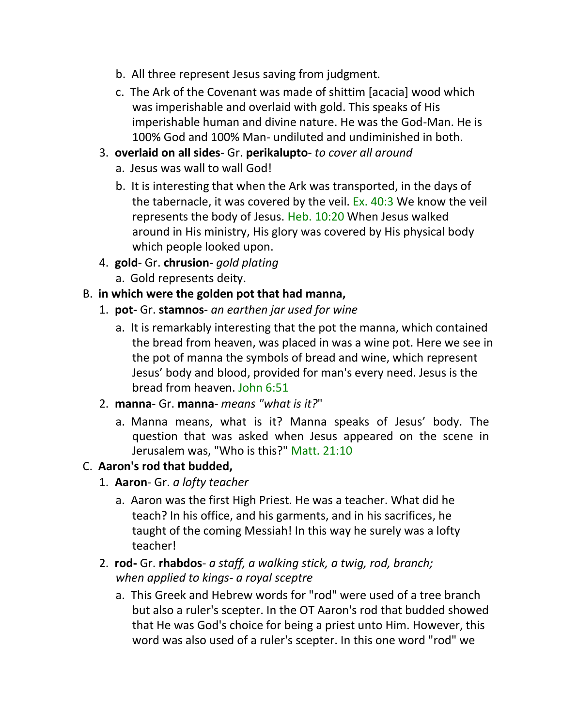- b. All three represent Jesus saving from judgment.
- c. The Ark of the Covenant was made of shittim [acacia] wood which was imperishable and overlaid with gold. This speaks of His imperishable human and divine nature. He was the God-Man. He is 100% God and 100% Man- undiluted and undiminished in both.
- 3. **overlaid on all sides** Gr. **perikalupto** *to cover all around*
	- a. Jesus was wall to wall God!
	- b. It is interesting that when the Ark was transported, in the days of the tabernacle, it was covered by the veil. Ex. 40:3 We know the veil represents the body of Jesus. Heb. 10:20 When Jesus walked around in His ministry, His glory was covered by His physical body which people looked upon.
- 4. **gold** Gr. **chrusion-** *gold plating*
	- a. Gold represents deity.

## B. **in which were the golden pot that had manna,**

- 1. **pot-** Gr. **stamnos** *an earthen jar used for wine*
	- a. It is remarkably interesting that the pot the manna, which contained the bread from heaven, was placed in was a wine pot. Here we see in the pot of manna the symbols of bread and wine, which represent Jesus' body and blood, provided for man's every need. Jesus is the bread from heaven. John 6:51
- 2. **manna** Gr. **manna** *means "what is it?*"
	- a. Manna means, what is it? Manna speaks of Jesus' body. The question that was asked when Jesus appeared on the scene in Jerusalem was, "Who is this?" Matt. 21:10

## C. **Aaron's rod that budded,**

- 1. **Aaron** Gr. *a lofty teacher*
	- a. Aaron was the first High Priest. He was a teacher. What did he teach? In his office, and his garments, and in his sacrifices, he taught of the coming Messiah! In this way he surely was a lofty teacher!
- 2. **rod-** Gr. **rhabdos** *a staff, a walking stick, a twig, rod, branch; when applied to kings- a royal sceptre*
	- a. This Greek and Hebrew words for "rod" were used of a tree branch but also a ruler's scepter. In the OT Aaron's rod that budded showed that He was God's choice for being a priest unto Him. However, this word was also used of a ruler's scepter. In this one word "rod" we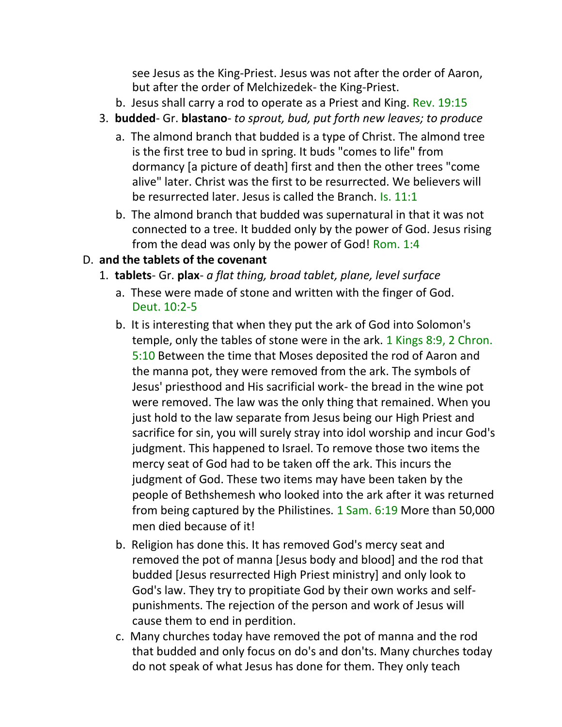see Jesus as the King-Priest. Jesus was not after the order of Aaron, but after the order of Melchizedek- the King-Priest.

- b. Jesus shall carry a rod to operate as a Priest and King. Rev. 19:15
- 3. **budded** Gr. **blastano** *to sprout, bud, put forth new leaves; to produce*
	- a. The almond branch that budded is a type of Christ. The almond tree is the first tree to bud in spring. It buds "comes to life" from dormancy [a picture of death] first and then the other trees "come alive" later. Christ was the first to be resurrected. We believers will be resurrected later. Jesus is called the Branch. Is. 11:1
	- b. The almond branch that budded was supernatural in that it was not connected to a tree. It budded only by the power of God. Jesus rising from the dead was only by the power of God! Rom. 1:4

## D. **and the tablets of the covenant**

- 1. **tablets** Gr. **plax** *a flat thing, broad tablet, plane, level surface*
	- a. These were made of stone and written with the finger of God. Deut. 10:2-5
	- b. It is interesting that when they put the ark of God into Solomon's temple, only the tables of stone were in the ark. 1 Kings 8:9, 2 Chron. 5:10 Between the time that Moses deposited the rod of Aaron and the manna pot, they were removed from the ark. The symbols of Jesus' priesthood and His sacrificial work- the bread in the wine pot were removed. The law was the only thing that remained. When you just hold to the law separate from Jesus being our High Priest and sacrifice for sin, you will surely stray into idol worship and incur God's judgment. This happened to Israel. To remove those two items the mercy seat of God had to be taken off the ark. This incurs the judgment of God. These two items may have been taken by the people of Bethshemesh who looked into the ark after it was returned from being captured by the Philistines. 1 Sam. 6:19 More than 50,000 men died because of it!
	- b. Religion has done this. It has removed God's mercy seat and removed the pot of manna [Jesus body and blood] and the rod that budded [Jesus resurrected High Priest ministry] and only look to God's law. They try to propitiate God by their own works and selfpunishments. The rejection of the person and work of Jesus will cause them to end in perdition.
	- c. Many churches today have removed the pot of manna and the rod that budded and only focus on do's and don'ts. Many churches today do not speak of what Jesus has done for them. They only teach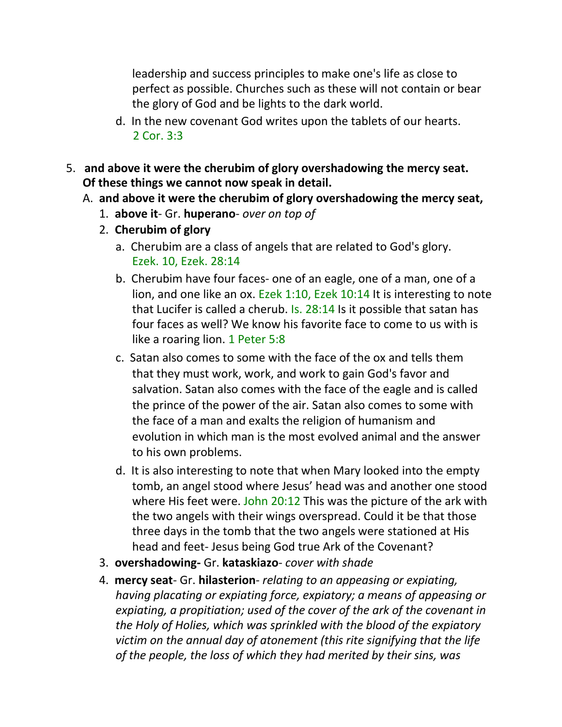leadership and success principles to make one's life as close to perfect as possible. Churches such as these will not contain or bear the glory of God and be lights to the dark world.

- d. In the new covenant God writes upon the tablets of our hearts. 2 Cor. 3:3
- 5. **and above it were the cherubim of glory overshadowing the mercy seat. Of these things we cannot now speak in detail.**
	- A. **and above it were the cherubim of glory overshadowing the mercy seat,**
		- 1. **above it** Gr. **huperano** *over on top of*
		- 2. **Cherubim of glory**
			- a. Cherubim are a class of angels that are related to God's glory. Ezek. 10, Ezek. 28:14
			- b. Cherubim have four faces- one of an eagle, one of a man, one of a lion, and one like an ox. Ezek 1:10, Ezek 10:14 It is interesting to note that Lucifer is called a cherub. Is. 28:14 Is it possible that satan has four faces as well? We know his favorite face to come to us with is like a roaring lion. 1 Peter 5:8
			- c. Satan also comes to some with the face of the ox and tells them that they must work, work, and work to gain God's favor and salvation. Satan also comes with the face of the eagle and is called the prince of the power of the air. Satan also comes to some with the face of a man and exalts the religion of humanism and evolution in which man is the most evolved animal and the answer to his own problems.
			- d. It is also interesting to note that when Mary looked into the empty tomb, an angel stood where Jesus' head was and another one stood where His feet were. John 20:12 This was the picture of the ark with the two angels with their wings overspread. Could it be that those three days in the tomb that the two angels were stationed at His head and feet- Jesus being God true Ark of the Covenant?
		- 3. **overshadowing-** Gr. **kataskiazo** *cover with shade*
		- 4. **mercy seat** Gr. **hilasterion** *relating to an appeasing or expiating, having placating or expiating force, expiatory; a means of appeasing or expiating, a propitiation; used of the cover of the ark of the covenant in the Holy of Holies, which was sprinkled with the blood of the expiatory victim on the annual day of atonement (this rite signifying that the life of the people, the loss of which they had merited by their sins, was*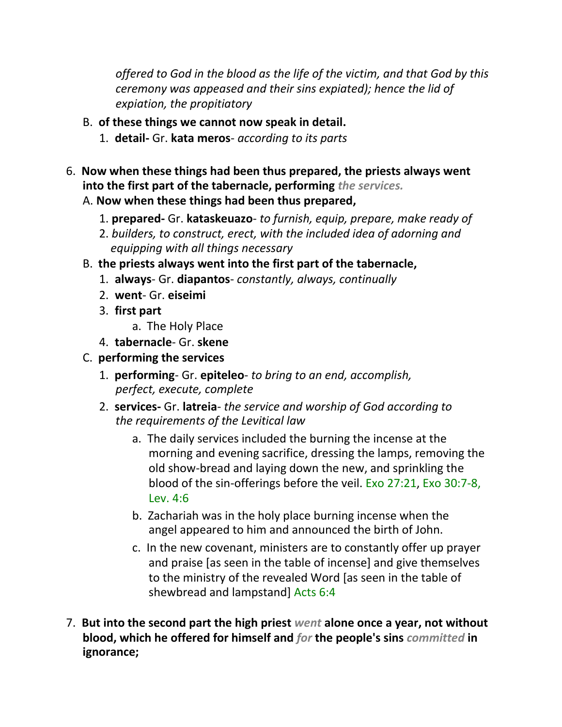*offered to God in the blood as the life of the victim, and that God by this ceremony was appeased and their sins expiated); hence the lid of expiation, the propitiatory*

- B. **of these things we cannot now speak in detail.**
	- 1. **detail-** Gr. **kata meros** *according to its parts*
- 6. **Now when these things had been thus prepared, the priests always went into the first part of the tabernacle, performing** *the services.*

## A. **Now when these things had been thus prepared,**

- 1. **prepared-** Gr. **kataskeuazo** *to furnish, equip, prepare, make ready of*
- 2. *builders, to construct, erect, with the included idea of adorning and equipping with all things necessary*
- B. **the priests always went into the first part of the tabernacle,**
	- 1. **always** Gr. **diapantos** *constantly, always, continually*
	- 2. **went** Gr. **eiseimi**
	- 3. **first part**
		- a. The Holy Place
	- 4. **tabernacle** Gr. **skene**
- C. **performing the services**
	- 1. **performing** Gr. **epiteleo** *to bring to an end, accomplish, perfect, execute, complete*
	- 2. **services-** Gr. **latreia** *the service and worship of God according to the requirements of the Levitical law*
		- a. The daily services included the burning the incense at the morning and evening sacrifice, dressing the lamps, removing the old show-bread and laying down the new, and sprinkling the blood of the sin-offerings before the veil. Exo 27:21, Exo 30:7-8, Lev. 4:6
		- b. Zachariah was in the holy place burning incense when the angel appeared to him and announced the birth of John.
		- c. In the new covenant, ministers are to constantly offer up prayer and praise [as seen in the table of incense] and give themselves to the ministry of the revealed Word [as seen in the table of shewbread and lampstand] Acts 6:4
- 7. **But into the second part the high priest** *went* **alone once a year, not without blood, which he offered for himself and** *for* **the people's sins** *committed* **in ignorance;**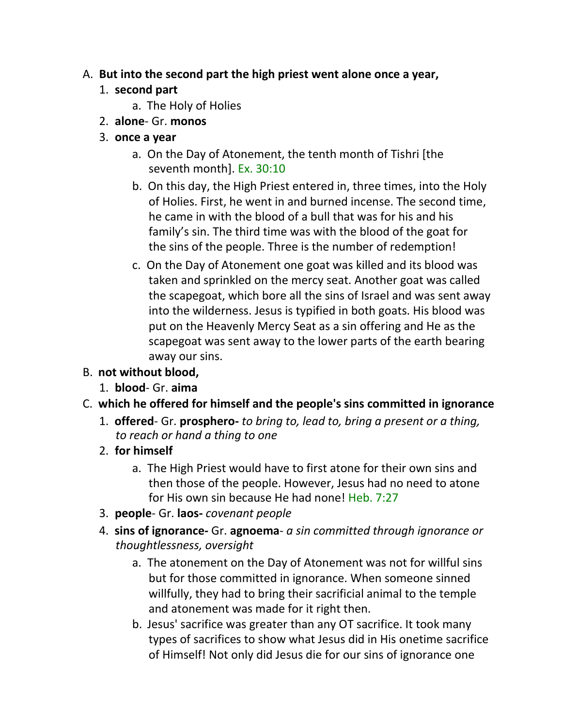### A. **But into the second part the high priest went alone once a year,**

## 1. **second part**

- a. The Holy of Holies
- 2. **alone** Gr. **monos**

### 3. **once a year**

- a. On the Day of Atonement, the tenth month of Tishri [the seventh month]. Ex. 30:10
- b. On this day, the High Priest entered in, three times, into the Holy of Holies. First, he went in and burned incense. The second time, he came in with the blood of a bull that was for his and his family's sin. The third time was with the blood of the goat for the sins of the people. Three is the number of redemption!
- c. On the Day of Atonement one goat was killed and its blood was taken and sprinkled on the mercy seat. Another goat was called the scapegoat, which bore all the sins of Israel and was sent away into the wilderness. Jesus is typified in both goats. His blood was put on the Heavenly Mercy Seat as a sin offering and He as the scapegoat was sent away to the lower parts of the earth bearing away our sins.

## B. **not without blood,**

1. **blood**- Gr. **aima**

# C. **which he offered for himself and the people's sins committed in ignorance**

1. **offered**- Gr. **prosphero-** *to bring to, lead to, bring a present or a thing, to reach or hand a thing to one*

## 2. **for himself**

- a. The High Priest would have to first atone for their own sins and then those of the people. However, Jesus had no need to atone for His own sin because He had none! Heb. 7:27
- 3. **people** Gr. **laos-** *covenant people*
- 4. **sins of ignorance-** Gr. **agnoema** *a sin committed through ignorance or thoughtlessness, oversight*
	- a. The atonement on the Day of Atonement was not for willful sins but for those committed in ignorance. When someone sinned willfully, they had to bring their sacrificial animal to the temple and atonement was made for it right then.
	- b. Jesus' sacrifice was greater than any OT sacrifice. It took many types of sacrifices to show what Jesus did in His onetime sacrifice of Himself! Not only did Jesus die for our sins of ignorance one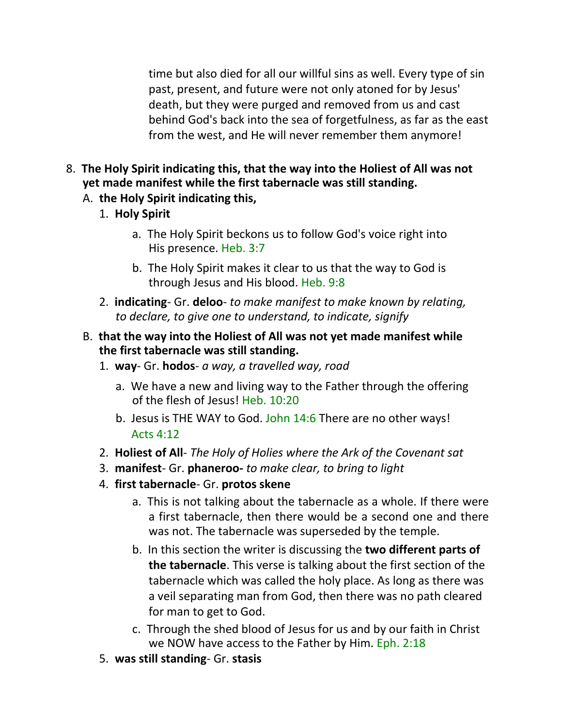time but also died for all our willful sins as well. Every type of sin past, present, and future were not only atoned for by Jesus' death, but they were purged and removed from us and cast behind God's back into the sea of forgetfulness, as far as the east from the west, and He will never remember them anymore!

- 8. **The Holy Spirit indicating this, that the way into the Holiest of All was not yet made manifest while the first tabernacle was still standing.**
	- A. **the Holy Spirit indicating this,**
		- 1. **Holy Spirit**
			- a. The Holy Spirit beckons us to follow God's voice right into His presence. Heb. 3:7
			- b. The Holy Spirit makes it clear to us that the way to God is through Jesus and His blood. Heb. 9:8
		- 2. **indicating** Gr. **deloo** *to make manifest to make known by relating, to declare, to give one to understand, to indicate, signify*
	- B. **that the way into the Holiest of All was not yet made manifest while the first tabernacle was still standing.**
		- 1. **way** Gr. **hodos** *a way, a travelled way, road*
			- a. We have a new and living way to the Father through the offering of the flesh of Jesus! Heb. 10:20
			- b. Jesus is THE WAY to God. John 14:6 There are no other ways! Acts 4:12
		- 2. **Holiest of All** *The Holy of Holies where the Ark of the Covenant sat*
		- 3. **manifest** Gr. **phaneroo-** *to make clear, to bring to light*
		- 4. **first tabernacle** Gr. **protos skene**
			- a. This is not talking about the tabernacle as a whole. If there were a first tabernacle, then there would be a second one and there was not. The tabernacle was superseded by the temple.
			- b. In this section the writer is discussing the **two different parts of the tabernacle**. This verse is talking about the first section of the tabernacle which was called the holy place. As long as there was a veil separating man from God, then there was no path cleared for man to get to God.
			- c. Through the shed blood of Jesus for us and by our faith in Christ we NOW have access to the Father by Him. Eph. 2:18
		- 5. **was still standing** Gr. **stasis**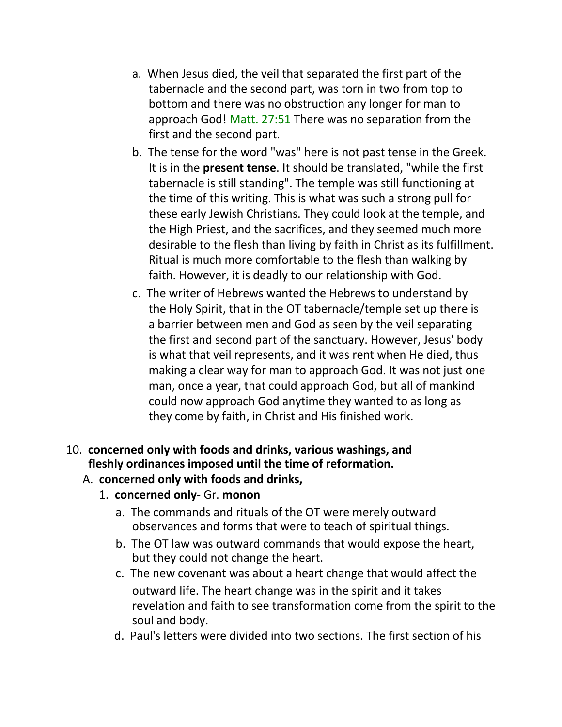- a. When Jesus died, the veil that separated the first part of the tabernacle and the second part, was torn in two from top to bottom and there was no obstruction any longer for man to approach God! Matt. 27:51 There was no separation from the first and the second part.
- b. The tense for the word "was" here is not past tense in the Greek. It is in the **present tense**. It should be translated, "while the first tabernacle is still standing". The temple was still functioning at the time of this writing. This is what was such a strong pull for these early Jewish Christians. They could look at the temple, and the High Priest, and the sacrifices, and they seemed much more desirable to the flesh than living by faith in Christ as its fulfillment. Ritual is much more comfortable to the flesh than walking by faith. However, it is deadly to our relationship with God.
- c. The writer of Hebrews wanted the Hebrews to understand by the Holy Spirit, that in the OT tabernacle/temple set up there is a barrier between men and God as seen by the veil separating the first and second part of the sanctuary. However, Jesus' body is what that veil represents, and it was rent when He died, thus making a clear way for man to approach God. It was not just one man, once a year, that could approach God, but all of mankind could now approach God anytime they wanted to as long as they come by faith, in Christ and His finished work.

### 10. **concerned only with foods and drinks, various washings, and fleshly ordinances imposed until the time of reformation.**

- A. **concerned only with foods and drinks,**
	- 1. **concerned only** Gr. **monon**
		- a. The commands and rituals of the OT were merely outward observances and forms that were to teach of spiritual things.
		- b. The OT law was outward commands that would expose the heart, but they could not change the heart.
		- c. The new covenant was about a heart change that would affect the outward life. The heart change was in the spirit and it takes revelation and faith to see transformation come from the spirit to the soul and body.
		- d. Paul's letters were divided into two sections. The first section of his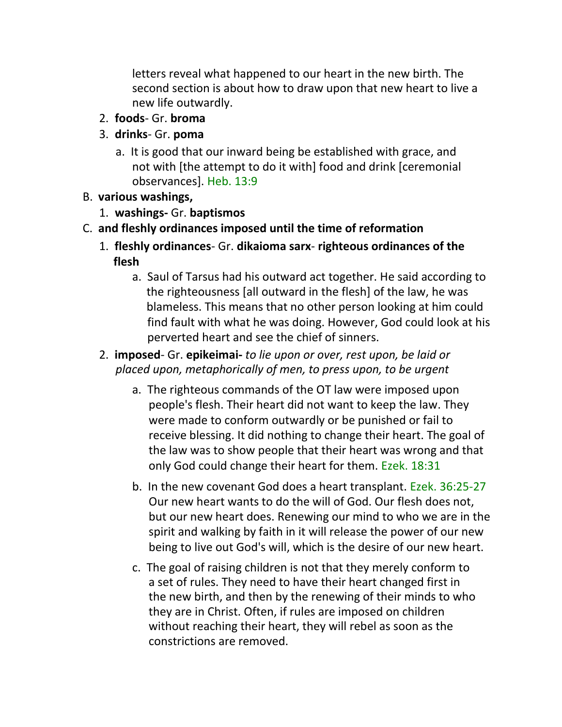letters reveal what happened to our heart in the new birth. The second section is about how to draw upon that new heart to live a new life outwardly.

- 2. **foods** Gr. **broma**
- 3. **drinks** Gr. **poma**
	- a. It is good that our inward being be established with grace, and not with [the attempt to do it with] food and drink [ceremonial observances]. Heb. 13:9
- B. **various washings,**
	- 1. **washings-** Gr. **baptismos**
- C. **and fleshly ordinances imposed until the time of reformation**
	- 1. **fleshly ordinances** Gr. **dikaioma sarx righteous ordinances of the flesh** 
		- a. Saul of Tarsus had his outward act together. He said according to the righteousness [all outward in the flesh] of the law, he was blameless. This means that no other person looking at him could find fault with what he was doing. However, God could look at his perverted heart and see the chief of sinners.
	- 2. **imposed** Gr. **epikeimai-** *to lie upon or over, rest upon, be laid or placed upon, metaphorically of men, to press upon, to be urgent*
		- a. The righteous commands of the OT law were imposed upon people's flesh. Their heart did not want to keep the law. They were made to conform outwardly or be punished or fail to receive blessing. It did nothing to change their heart. The goal of the law was to show people that their heart was wrong and that only God could change their heart for them. Ezek. 18:31
		- b. In the new covenant God does a heart transplant. Ezek. 36:25-27 Our new heart wants to do the will of God. Our flesh does not, but our new heart does. Renewing our mind to who we are in the spirit and walking by faith in it will release the power of our new being to live out God's will, which is the desire of our new heart.
		- c. The goal of raising children is not that they merely conform to a set of rules. They need to have their heart changed first in the new birth, and then by the renewing of their minds to who they are in Christ. Often, if rules are imposed on children without reaching their heart, they will rebel as soon as the constrictions are removed.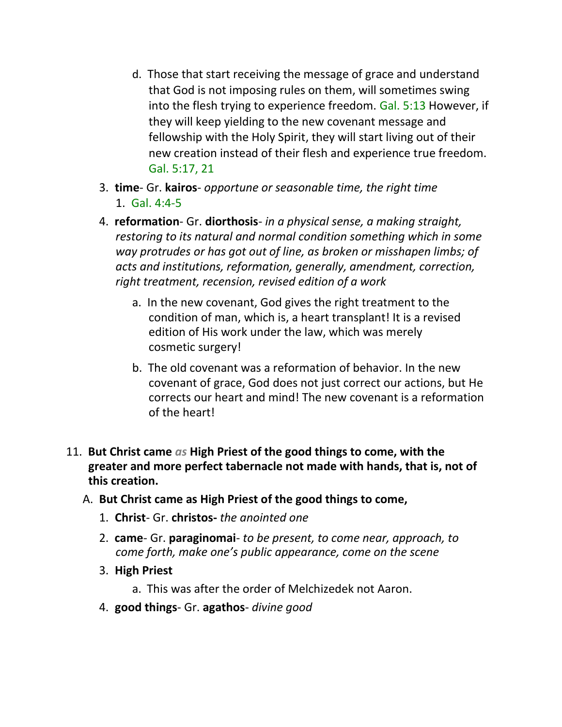- d. Those that start receiving the message of grace and understand that God is not imposing rules on them, will sometimes swing into the flesh trying to experience freedom. Gal. 5:13 However, if they will keep yielding to the new covenant message and fellowship with the Holy Spirit, they will start living out of their new creation instead of their flesh and experience true freedom. Gal. 5:17, 21
- 3. **time** Gr. **kairos** *opportune or seasonable time, the right time* 1. Gal. 4:4-5
- 4. **reformation** Gr. **diorthosis** *in a physical sense, a making straight, restoring to its natural and normal condition something which in some way protrudes or has got out of line, as broken or misshapen limbs; of acts and institutions, reformation, generally, amendment, correction, right treatment, recension, revised edition of a work*
	- a. In the new covenant, God gives the right treatment to the condition of man, which is, a heart transplant! It is a revised edition of His work under the law, which was merely cosmetic surgery!
	- b. The old covenant was a reformation of behavior. In the new covenant of grace, God does not just correct our actions, but He corrects our heart and mind! The new covenant is a reformation of the heart!
- 11. **But Christ came** *as* **High Priest of the good things to come, with the greater and more perfect tabernacle not made with hands, that is, not of this creation.**
	- A. **But Christ came as High Priest of the good things to come,**
		- 1. **Christ** Gr. **christos-** *the anointed one*
		- 2. **came** Gr. **paraginomai** *to be present, to come near, approach, to come forth, make one's public appearance, come on the scene*
		- 3. **High Priest**
			- a. This was after the order of Melchizedek not Aaron.
		- 4. **good things** Gr. **agathos** *divine good*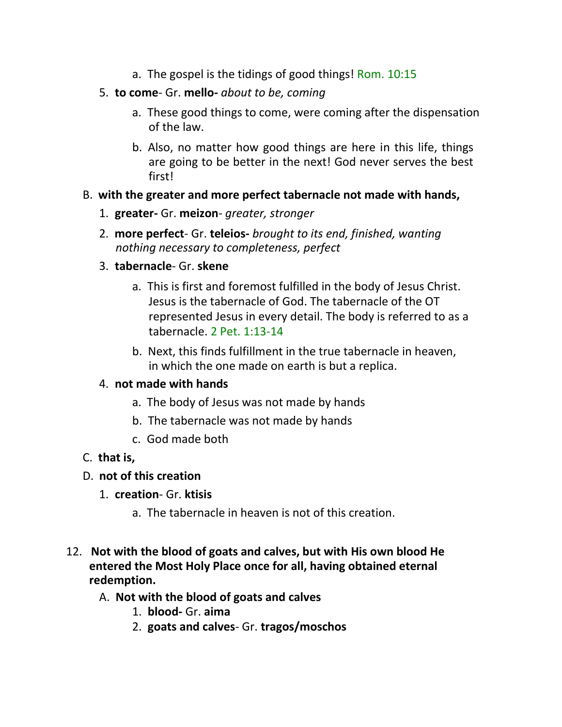- a. The gospel is the tidings of good things! Rom. 10:15
- 5. **to come** Gr. **mello-** *about to be, coming*
	- a. These good things to come, were coming after the dispensation of the law.
	- b. Also, no matter how good things are here in this life, things are going to be better in the next! God never serves the best first!

#### B. **with the greater and more perfect tabernacle not made with hands,**

- 1. **greater-** Gr. **meizon** *greater, stronger*
- 2. **more perfect** Gr. **teleios-** *brought to its end, finished, wanting nothing necessary to completeness, perfect*
- 3. **tabernacle** Gr. **skene**
	- a. This is first and foremost fulfilled in the body of Jesus Christ. Jesus is the tabernacle of God. The tabernacle of the OT represented Jesus in every detail. The body is referred to as a tabernacle. 2 Pet. 1:13-14
	- b. Next, this finds fulfillment in the true tabernacle in heaven, in which the one made on earth is but a replica.

### 4. **not made with hands**

- a. The body of Jesus was not made by hands
- b. The tabernacle was not made by hands
- c. God made both

#### C. **that is,**

### D. **not of this creation**

- 1. **creation** Gr. **ktisis**
	- a. The tabernacle in heaven is not of this creation.
- 12. **Not with the blood of goats and calves, but with His own blood He entered the Most Holy Place once for all, having obtained eternal redemption.**

#### A. **Not with the blood of goats and calves**

- 1. **blood-** Gr. **aima**
- 2. **goats and calves** Gr. **tragos/moschos**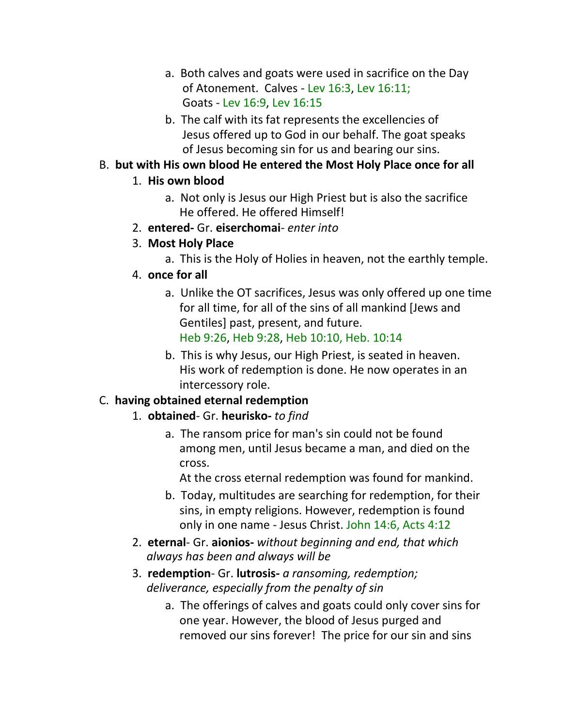- a. Both calves and goats were used in sacrifice on the Day of Atonement. Calves - Lev 16:3, Lev 16:11; Goats - Lev 16:9, Lev 16:15
- b. The calf with its fat represents the excellencies of Jesus offered up to God in our behalf. The goat speaks of Jesus becoming sin for us and bearing our sins.

### B. **but with His own blood He entered the Most Holy Place once for all**

## 1. **His own blood**

- a. Not only is Jesus our High Priest but is also the sacrifice He offered. He offered Himself!
- 2. **entered-** Gr. **eiserchomai** *enter into*
- 3. **Most Holy Place**
	- a. This is the Holy of Holies in heaven, not the earthly temple.
- 4. **once for all**
	- a. Unlike the OT sacrifices, Jesus was only offered up one time for all time, for all of the sins of all mankind [Jews and Gentiles] past, present, and future. Heb 9:26, Heb 9:28, Heb 10:10, Heb. 10:14
	- b. This is why Jesus, our High Priest, is seated in heaven. His work of redemption is done. He now operates in an intercessory role.

# C. **having obtained eternal redemption**

- 1. **obtained** Gr. **heurisko-** *to find*
	- a. The ransom price for man's sin could not be found among men, until Jesus became a man, and died on the cross.

At the cross eternal redemption was found for mankind.

- b. Today, multitudes are searching for redemption, for their sins, in empty religions. However, redemption is found only in one name - Jesus Christ. John 14:6, Acts 4:12
- 2. **eternal** Gr. **aionios-** *without beginning and end, that which always has been and always will be*
- 3. **redemption** Gr. **lutrosis-** *a ransoming, redemption; deliverance, especially from the penalty of sin*
	- a. The offerings of calves and goats could only cover sins for one year. However, the blood of Jesus purged and removed our sins forever! The price for our sin and sins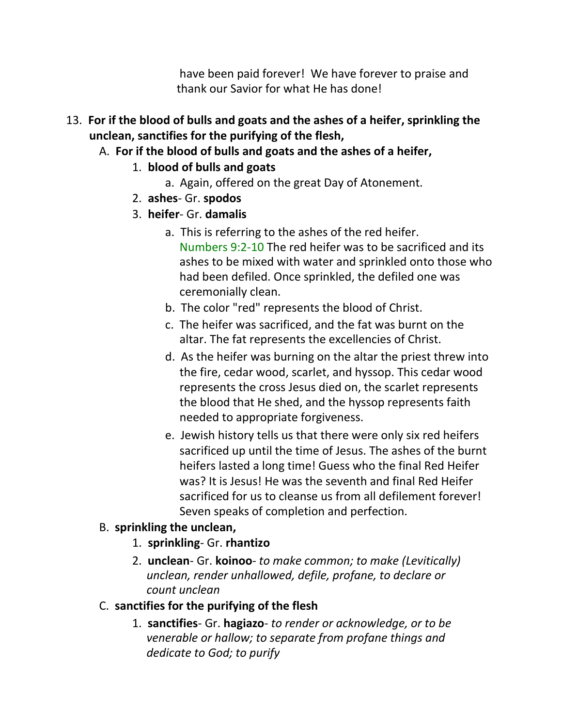have been paid forever! We have forever to praise and thank our Savior for what He has done!

- 13. **For if the blood of bulls and goats and the ashes of a heifer, sprinkling the unclean, sanctifies for the purifying of the flesh,**
	- A. **For if the blood of bulls and goats and the ashes of a heifer,**
		- 1. **blood of bulls and goats**
			- a. Again, offered on the great Day of Atonement.
		- 2. **ashes** Gr. **spodos**
		- 3. **heifer** Gr. **damalis**
			- a. This is referring to the ashes of the red heifer. Numbers 9:2-10 The red heifer was to be sacrificed and its ashes to be mixed with water and sprinkled onto those who had been defiled. Once sprinkled, the defiled one was ceremonially clean.
			- b. The color "red" represents the blood of Christ.
			- c. The heifer was sacrificed, and the fat was burnt on the altar. The fat represents the excellencies of Christ.
			- d. As the heifer was burning on the altar the priest threw into the fire, cedar wood, scarlet, and hyssop. This cedar wood represents the cross Jesus died on, the scarlet represents the blood that He shed, and the hyssop represents faith needed to appropriate forgiveness.
			- e. Jewish history tells us that there were only six red heifers sacrificed up until the time of Jesus. The ashes of the burnt heifers lasted a long time! Guess who the final Red Heifer was? It is Jesus! He was the seventh and final Red Heifer sacrificed for us to cleanse us from all defilement forever! Seven speaks of completion and perfection.

## B. **sprinkling the unclean,**

- 1. **sprinkling** Gr. **rhantizo**
- 2. **unclean** Gr. **koinoo** *to make common; to make (Levitically) unclean, render unhallowed, defile, profane, to declare or count unclean*
- C. **sanctifies for the purifying of the flesh**
	- 1. **sanctifies** Gr. **hagiazo** *to render or acknowledge, or to be venerable or hallow; to separate from profane things and dedicate to God; to purify*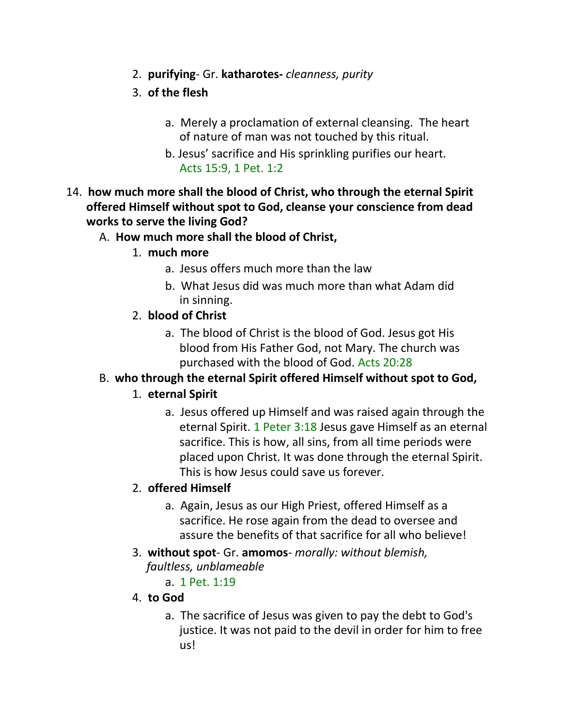- 2. **purifying** Gr. **katharotes-** *cleanness, purity*
- 3. **of the flesh**
	- a. Merely a proclamation of external cleansing. The heart of nature of man was not touched by this ritual.
	- b. Jesus' sacrifice and His sprinkling purifies our heart. Acts 15:9, 1 Pet. 1:2
- 14. **how much more shall the blood of Christ, who through the eternal Spirit offered Himself without spot to God, cleanse your conscience from dead works to serve the living God?**

## A. **How much more shall the blood of Christ,**

- 1. **much more**
	- a. Jesus offers much more than the law
	- b. What Jesus did was much more than what Adam did in sinning.
- 2. **blood of Christ**
	- a. The blood of Christ is the blood of God. Jesus got His blood from His Father God, not Mary. The church was purchased with the blood of God. Acts 20:28

## B. **who through the eternal Spirit offered Himself without spot to God,**

## 1. **eternal Spirit**

a. Jesus offered up Himself and was raised again through the eternal Spirit. 1 Peter 3:18 Jesus gave Himself as an eternal sacrifice. This is how, all sins, from all time periods were placed upon Christ. It was done through the eternal Spirit. This is how Jesus could save us forever.

## 2. **offered Himself**

- a. Again, Jesus as our High Priest, offered Himself as a sacrifice. He rose again from the dead to oversee and assure the benefits of that sacrifice for all who believe!
- 3. **without spot** Gr. **amomos** *morally: without blemish, faultless, unblameable*
	- a. 1 Pet. 1:19

## 4. **to God**

a. The sacrifice of Jesus was given to pay the debt to God's justice. It was not paid to the devil in order for him to free us!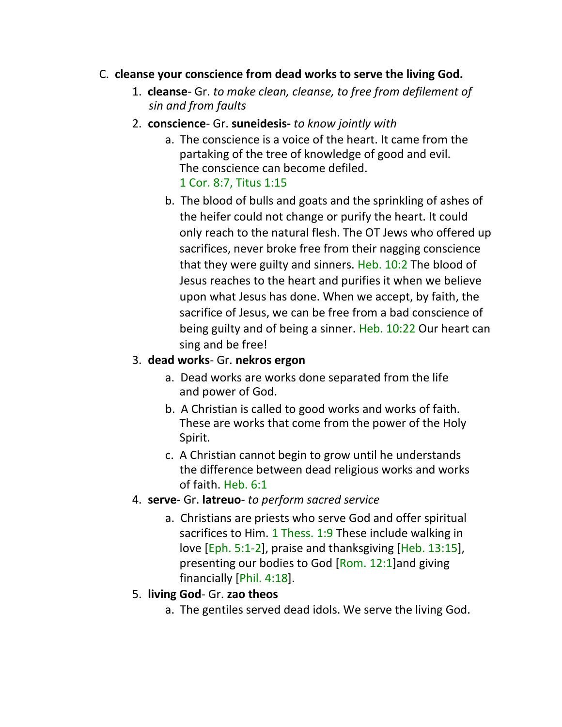#### C. **cleanse your conscience from dead works to serve the living God.**

- 1. **cleanse** Gr. *to make clean, cleanse, to free from defilement of sin and from faults*
- 2. **conscience** Gr. **suneidesis-** *to know jointly with*
	- a. The conscience is a voice of the heart. It came from the partaking of the tree of knowledge of good and evil. The conscience can become defiled. 1 Cor. 8:7, Titus 1:15
	- b. The blood of bulls and goats and the sprinkling of ashes of the heifer could not change or purify the heart. It could only reach to the natural flesh. The OT Jews who offered up sacrifices, never broke free from their nagging conscience that they were guilty and sinners. Heb. 10:2 The blood of Jesus reaches to the heart and purifies it when we believe upon what Jesus has done. When we accept, by faith, the sacrifice of Jesus, we can be free from a bad conscience of being guilty and of being a sinner. Heb. 10:22 Our heart can sing and be free!

### 3. **dead works**- Gr. **nekros ergon**

- a. Dead works are works done separated from the life and power of God.
- b. A Christian is called to good works and works of faith. These are works that come from the power of the Holy Spirit.
- c. A Christian cannot begin to grow until he understands the difference between dead religious works and works of faith. Heb. 6:1
- 4. **serve-** Gr. **latreuo** *to perform sacred service*
	- a. Christians are priests who serve God and offer spiritual sacrifices to Him. 1 Thess. 1:9 These include walking in love [Eph. 5:1-2], praise and thanksgiving [Heb. 13:15], presenting our bodies to God [Rom. 12:1] and giving financially [Phil. 4:18].

### 5. **living God**- Gr. **zao theos**

a. The gentiles served dead idols. We serve the living God.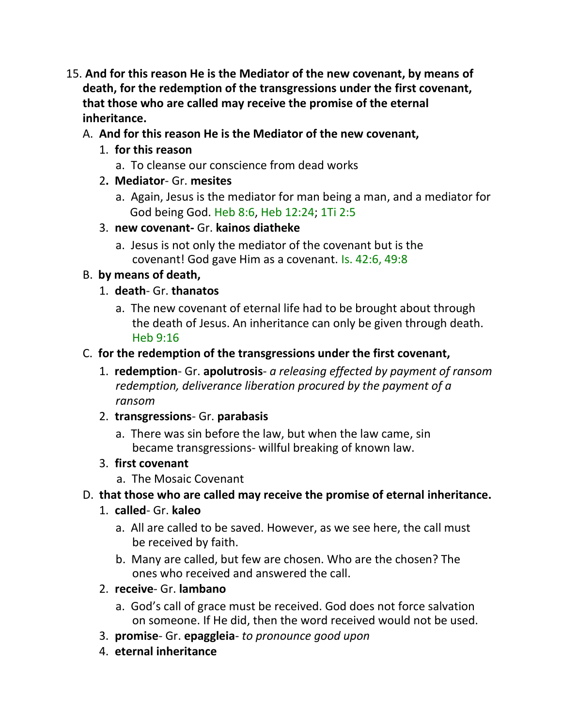- 15. **And for this reason He is the Mediator of the new covenant, by means of death, for the redemption of the transgressions under the first covenant, that those who are called may receive the promise of the eternal inheritance.**
	- A. **And for this reason He is the Mediator of the new covenant,**
		- 1. **for this reason**
			- a. To cleanse our conscience from dead works
		- 2**. Mediator** Gr. **mesites**
			- a. Again, Jesus is the mediator for man being a man, and a mediator for God being God. Heb 8:6, Heb 12:24; 1Ti 2:5
		- 3. **new covenant-** Gr. **kainos diatheke**
			- a. Jesus is not only the mediator of the covenant but is the covenant! God gave Him as a covenant. Is. 42:6, 49:8

## B. **by means of death,**

- 1. **death** Gr. **thanatos**
	- a. The new covenant of eternal life had to be brought about through the death of Jesus. An inheritance can only be given through death. Heb 9:16
- C. **for the redemption of the transgressions under the first covenant,**
	- 1. **redemption** Gr. **apolutrosis** *a releasing effected by payment of ransom redemption, deliverance liberation procured by the payment of a ransom*
	- 2. **transgressions** Gr. **parabasis**
		- a. There was sin before the law, but when the law came, sin became transgressions- willful breaking of known law.
	- 3. **first covenant**
		- a. The Mosaic Covenant

## D. **that those who are called may receive the promise of eternal inheritance.**

- 1. **called** Gr. **kaleo**
	- a. All are called to be saved. However, as we see here, the call must be received by faith.
	- b. Many are called, but few are chosen. Who are the chosen? The ones who received and answered the call.
- 2. **receive** Gr. **lambano**
	- a. God's call of grace must be received. God does not force salvation on someone. If He did, then the word received would not be used.
- 3. **promise** Gr. **epaggleia** *to pronounce good upon*
- 4. **eternal inheritance**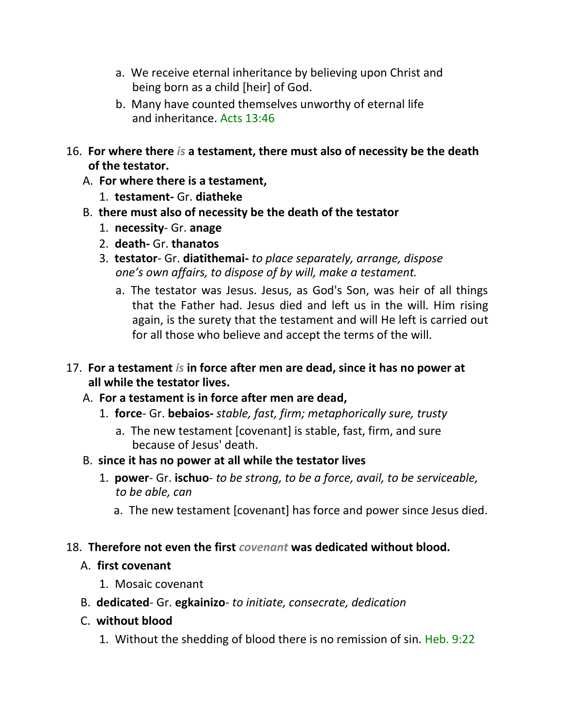- a. We receive eternal inheritance by believing upon Christ and being born as a child [heir] of God.
- b. Many have counted themselves unworthy of eternal life and inheritance. Acts 13:46
- 16. **For where there** *is* **a testament, there must also of necessity be the death of the testator.**
	- A. **For where there is a testament,**
		- 1. **testament-** Gr. **diatheke**
	- B. **there must also of necessity be the death of the testator**
		- 1. **necessity** Gr. **anage**
		- 2. **death-** Gr. **thanatos**
		- 3. **testator** Gr. **diatithemai-** *to place separately, arrange, dispose one's own affairs, to dispose of by will, make a testament.*
			- a. The testator was Jesus. Jesus, as God's Son, was heir of all things that the Father had. Jesus died and left us in the will. Him rising again, is the surety that the testament and will He left is carried out for all those who believe and accept the terms of the will.
- 17. **For a testament** *is* **in force after men are dead, since it has no power at all while the testator lives.**
	- A. **For a testament is in force after men are dead,**
		- 1. **force** Gr. **bebaios-** *stable, fast, firm; metaphorically sure, trusty*
			- a. The new testament [covenant] is stable, fast, firm, and sure because of Jesus' death.
	- B. **since it has no power at all while the testator lives**
		- 1. **power** Gr. **ischuo** *to be strong, to be a force, avail, to be serviceable, to be able, can*
			- a. The new testament [covenant] has force and power since Jesus died.

## 18. **Therefore not even the first** *covenant* **was dedicated without blood.**

### A. **first covenant**

- 1. Mosaic covenant
- B. **dedicated** Gr. **egkainizo** *to initiate, consecrate, dedication*
- C. **without blood**
	- 1. Without the shedding of blood there is no remission of sin. Heb. 9:22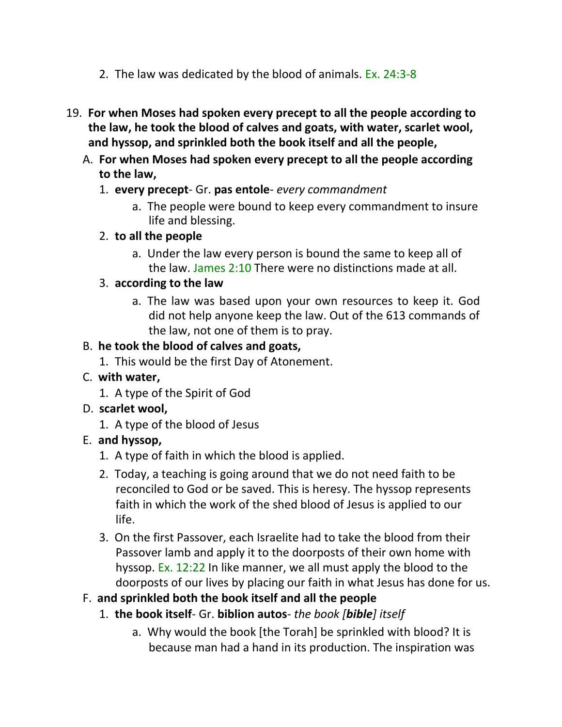- 2. The law was dedicated by the blood of animals. Ex. 24:3-8
- 19. **For when Moses had spoken every precept to all the people according to the law, he took the blood of calves and goats, with water, scarlet wool, and hyssop, and sprinkled both the book itself and all the people,**
	- A. **For when Moses had spoken every precept to all the people according to the law,**
		- 1. **every precept** Gr. **pas entole** *every commandment*
			- a. The people were bound to keep every commandment to insure life and blessing.
		- 2. **to all the people**
			- a. Under the law every person is bound the same to keep all of the law. James 2:10 There were no distinctions made at all.

### 3. **according to the law**

a. The law was based upon your own resources to keep it. God did not help anyone keep the law. Out of the 613 commands of the law, not one of them is to pray.

## B. **he took the blood of calves and goats,**

1. This would be the first Day of Atonement.

## C. **with water,**

1. A type of the Spirit of God

## D. **scarlet wool,**

1. A type of the blood of Jesus

## E. **and hyssop,**

- 1. A type of faith in which the blood is applied.
- 2. Today, a teaching is going around that we do not need faith to be reconciled to God or be saved. This is heresy. The hyssop represents faith in which the work of the shed blood of Jesus is applied to our life.
- 3. On the first Passover, each Israelite had to take the blood from their Passover lamb and apply it to the doorposts of their own home with hyssop. Ex. 12:22 In like manner, we all must apply the blood to the doorposts of our lives by placing our faith in what Jesus has done for us.

## F. **and sprinkled both the book itself and all the people**

- 1. **the book itself** Gr. **biblion autos** *the book [bible] itself*
	- a. Why would the book [the Torah] be sprinkled with blood? It is because man had a hand in its production. The inspiration was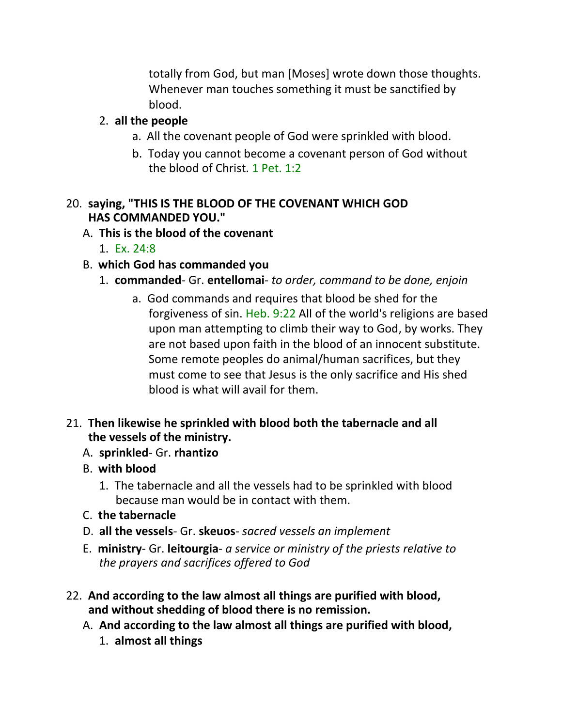totally from God, but man [Moses] wrote down those thoughts. Whenever man touches something it must be sanctified by blood.

### 2. **all the people**

- a. All the covenant people of God were sprinkled with blood.
- b. Today you cannot become a covenant person of God without the blood of Christ. 1 Pet. 1:2

### 20. **saying, "THIS IS THE BLOOD OF THE COVENANT WHICH GOD HAS COMMANDED YOU."**

### A. **This is the blood of the covenant**

1. Ex. 24:8

## B. **which God has commanded you**

- 1. **commanded** Gr. **entellomai** *to order, command to be done, enjoin*
	- a. God commands and requires that blood be shed for the forgiveness of sin. Heb. 9:22 All of the world's religions are based upon man attempting to climb their way to God, by works. They are not based upon faith in the blood of an innocent substitute. Some remote peoples do animal/human sacrifices, but they must come to see that Jesus is the only sacrifice and His shed blood is what will avail for them.

### 21. **Then likewise he sprinkled with blood both the tabernacle and all the vessels of the ministry.**

- A. **sprinkled** Gr. **rhantizo**
- B. **with blood**
	- 1. The tabernacle and all the vessels had to be sprinkled with blood because man would be in contact with them.
- C. **the tabernacle**
- D. **all the vessels** Gr. **skeuos** *sacred vessels an implement*
- E. **ministry** Gr. **leitourgia** *a service or ministry of the priests relative to the prayers and sacrifices offered to God*
- 22. **And according to the law almost all things are purified with blood, and without shedding of blood there is no remission.**
	- A. **And according to the law almost all things are purified with blood,**
		- 1. **almost all things**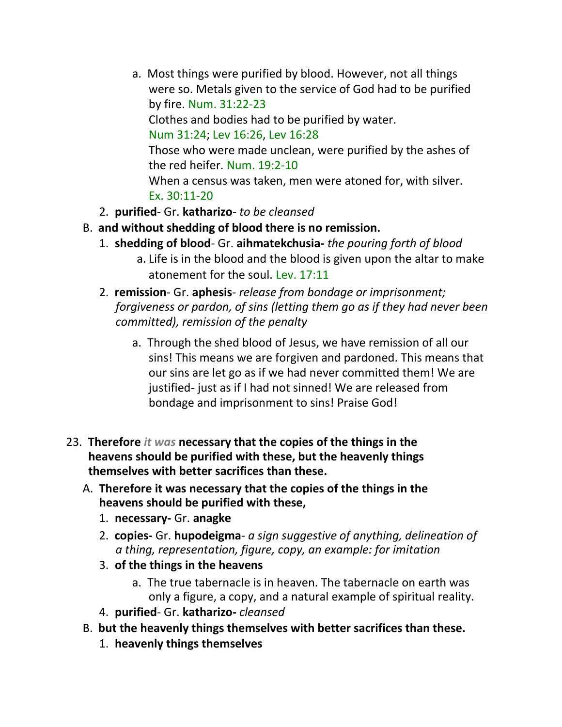- a. Most things were purified by blood. However, not all things were so. Metals given to the service of God had to be purified by fire. Num. 31:22-23 Clothes and bodies had to be purified by water. Num 31:24; Lev 16:26, Lev 16:28 Those who were made unclean, were purified by the ashes of the red heifer. Num. 19:2-10 When a census was taken, men were atoned for, with silver. Ex. 30:11-20
- 2. **purified** Gr. **katharizo** *to be cleansed*
- B. **and without shedding of blood there is no remission.**
	- 1. **shedding of blood** Gr. **aihmatekchusia-** *the pouring forth of blood*
		- a. Life is in the blood and the blood is given upon the altar to make atonement for the soul. Lev. 17:11
	- 2. **remission** Gr. **aphesis** *release from bondage or imprisonment; forgiveness or pardon, of sins (letting them go as if they had never been committed), remission of the penalty*
		- a. Through the shed blood of Jesus, we have remission of all our sins! This means we are forgiven and pardoned. This means that our sins are let go as if we had never committed them! We are justified- just as if I had not sinned! We are released from bondage and imprisonment to sins! Praise God!
- 23. **Therefore** *it was* **necessary that the copies of the things in the heavens should be purified with these, but the heavenly things themselves with better sacrifices than these.**
	- A. **Therefore it was necessary that the copies of the things in the heavens should be purified with these,**
		- 1. **necessary-** Gr. **anagke**
		- 2. **copies-** Gr. **hupodeigma** *a sign suggestive of anything, delineation of a thing, representation, figure, copy, an example: for imitation*
		- 3. **of the things in the heavens**
			- a. The true tabernacle is in heaven. The tabernacle on earth was only a figure, a copy, and a natural example of spiritual reality.
		- 4. **purified** Gr. **katharizo-** *cleansed*
	- B. **but the heavenly things themselves with better sacrifices than these.**
		- 1. **heavenly things themselves**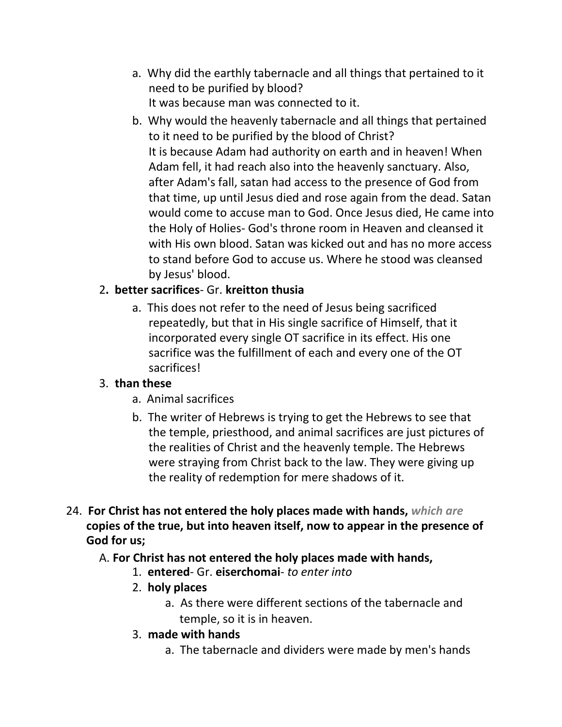- a. Why did the earthly tabernacle and all things that pertained to it need to be purified by blood? It was because man was connected to it.
- b. Why would the heavenly tabernacle and all things that pertained to it need to be purified by the blood of Christ? It is because Adam had authority on earth and in heaven! When Adam fell, it had reach also into the heavenly sanctuary. Also, after Adam's fall, satan had access to the presence of God from that time, up until Jesus died and rose again from the dead. Satan would come to accuse man to God. Once Jesus died, He came into the Holy of Holies- God's throne room in Heaven and cleansed it with His own blood. Satan was kicked out and has no more access to stand before God to accuse us. Where he stood was cleansed by Jesus' blood.

## 2**. better sacrifices**- Gr. **kreitton thusia**

a. This does not refer to the need of Jesus being sacrificed repeatedly, but that in His single sacrifice of Himself, that it incorporated every single OT sacrifice in its effect. His one sacrifice was the fulfillment of each and every one of the OT sacrifices!

### 3. **than these**

- a. Animal sacrifices
- b. The writer of Hebrews is trying to get the Hebrews to see that the temple, priesthood, and animal sacrifices are just pictures of the realities of Christ and the heavenly temple. The Hebrews were straying from Christ back to the law. They were giving up the reality of redemption for mere shadows of it.
- 24. **For Christ has not entered the holy places made with hands,** *which are*  **copies of the true, but into heaven itself, now to appear in the presence of God for us;**

## A. **For Christ has not entered the holy places made with hands,**

- 1. **entered** Gr. **eiserchomai** *to enter into*
- 2. **holy places**
	- a. As there were different sections of the tabernacle and temple, so it is in heaven.
- 3. **made with hands**
	- a. The tabernacle and dividers were made by men's hands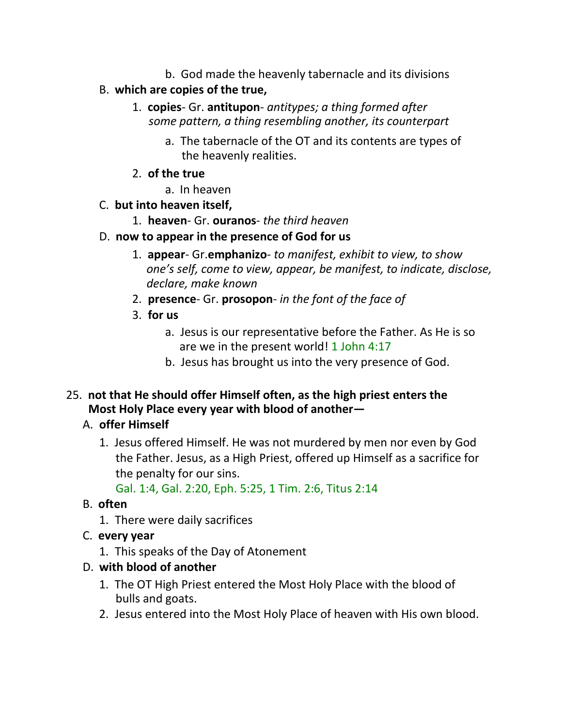- b. God made the heavenly tabernacle and its divisions
- B. **which are copies of the true,**
	- 1. **copies** Gr. **antitupon** *antitypes; a thing formed after some pattern, a thing resembling another, its counterpart*
		- a. The tabernacle of the OT and its contents are types of the heavenly realities.
	- 2. **of the true**
		- a. In heaven
- C. **but into heaven itself,**
	- 1. **heaven** Gr. **ouranos** *the third heaven*
- D. **now to appear in the presence of God for us**
	- 1. **appear** Gr.**emphanizo** *to manifest, exhibit to view, to show one's self, come to view, appear, be manifest, to indicate, disclose, declare, make known*
	- 2. **presence** Gr. **prosopon** *in the font of the face of*
	- 3. **for us**
		- a. Jesus is our representative before the Father. As He is so are we in the present world! 1 John 4:17
		- b. Jesus has brought us into the very presence of God.
- 25. **not that He should offer Himself often, as the high priest enters the Most Holy Place every year with blood of another—**

# A. **offer Himself**

1. Jesus offered Himself. He was not murdered by men nor even by God the Father. Jesus, as a High Priest, offered up Himself as a sacrifice for the penalty for our sins.

Gal. 1:4, Gal. 2:20, Eph. 5:25, 1 Tim. 2:6, Titus 2:14

# B. **often**

- 1. There were daily sacrifices
- C. **every year**
	- 1. This speaks of the Day of Atonement
- D. **with blood of another**
	- 1. The OT High Priest entered the Most Holy Place with the blood of bulls and goats.
	- 2. Jesus entered into the Most Holy Place of heaven with His own blood.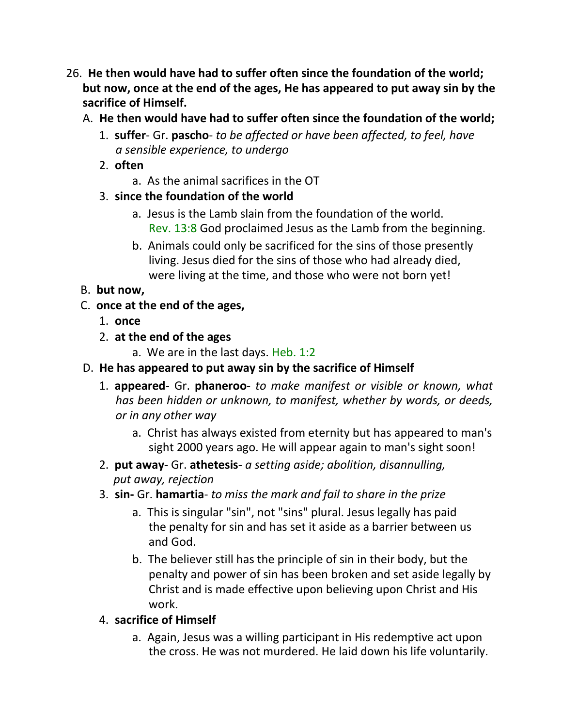- 26. **He then would have had to suffer often since the foundation of the world; but now, once at the end of the ages, He has appeared to put away sin by the sacrifice of Himself.**
	- A. **He then would have had to suffer often since the foundation of the world;**
		- 1. **suffer** Gr. **pascho** *to be affected or have been affected, to feel, have a sensible experience, to undergo*
		- 2. **often**
			- a. As the animal sacrifices in the OT
		- 3. **since the foundation of the world**
			- a. Jesus is the Lamb slain from the foundation of the world. Rev. 13:8 God proclaimed Jesus as the Lamb from the beginning.
			- b. Animals could only be sacrificed for the sins of those presently living. Jesus died for the sins of those who had already died, were living at the time, and those who were not born yet!

# B. **but now,**

- C. **once at the end of the ages,**
	- 1. **once**
	- 2. **at the end of the ages**
		- a. We are in the last days. Heb. 1:2
- D. **He has appeared to put away sin by the sacrifice of Himself**
	- 1. **appeared** Gr. **phaneroo** *to make manifest or visible or known, what has been hidden or unknown, to manifest, whether by words, or deeds, or in any other way*
		- a. Christ has always existed from eternity but has appeared to man's sight 2000 years ago. He will appear again to man's sight soon!
	- 2. **put away-** Gr. **athetesis** *a setting aside; abolition, disannulling, put away, rejection*
	- 3. **sin-** Gr. **hamartia** *to miss the mark and fail to share in the prize*
		- a. This is singular "sin", not "sins" plural. Jesus legally has paid the penalty for sin and has set it aside as a barrier between us and God.
		- b. The believer still has the principle of sin in their body, but the penalty and power of sin has been broken and set aside legally by Christ and is made effective upon believing upon Christ and His work.

# 4. **sacrifice of Himself**

a. Again, Jesus was a willing participant in His redemptive act upon the cross. He was not murdered. He laid down his life voluntarily.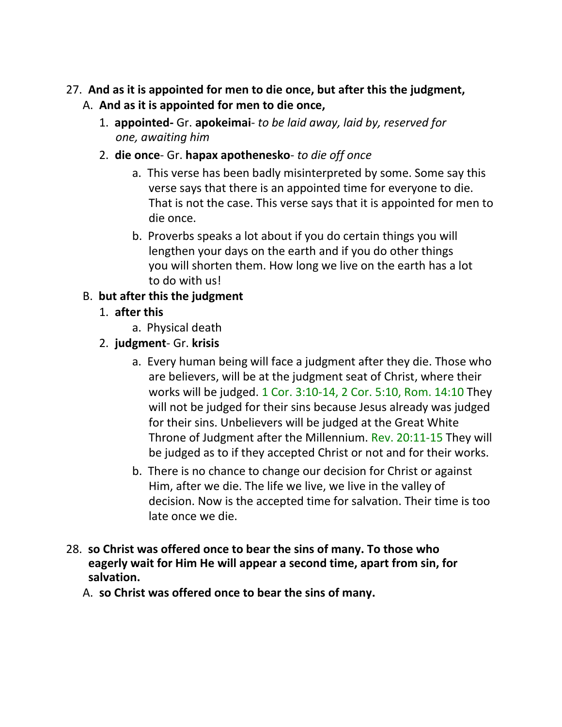### 27. **And as it is appointed for men to die once, but after this the judgment,** A. **And as it is appointed for men to die once,**

- 1. **appointed-** Gr. **apokeimai** *to be laid away, laid by, reserved for one, awaiting him*
- 2. **die once** Gr. **hapax apothenesko** *to die off once*
	- a. This verse has been badly misinterpreted by some. Some say this verse says that there is an appointed time for everyone to die. That is not the case. This verse says that it is appointed for men to die once.
	- b. Proverbs speaks a lot about if you do certain things you will lengthen your days on the earth and if you do other things you will shorten them. How long we live on the earth has a lot to do with us!

## B. **but after this the judgment**

- 1. **after this**
	- a. Physical death

## 2. **judgment**- Gr. **krisis**

- a. Every human being will face a judgment after they die. Those who are believers, will be at the judgment seat of Christ, where their works will be judged. 1 Cor. 3:10-14, 2 Cor. 5:10, Rom. 14:10 They will not be judged for their sins because Jesus already was judged for their sins. Unbelievers will be judged at the Great White Throne of Judgment after the Millennium. Rev. 20:11-15 They will be judged as to if they accepted Christ or not and for their works.
- b. There is no chance to change our decision for Christ or against Him, after we die. The life we live, we live in the valley of decision. Now is the accepted time for salvation. Their time is too late once we die.
- 28. **so Christ was offered once to bear the sins of many. To those who eagerly wait for Him He will appear a second time, apart from sin, for salvation.**
	- A. **so Christ was offered once to bear the sins of many.**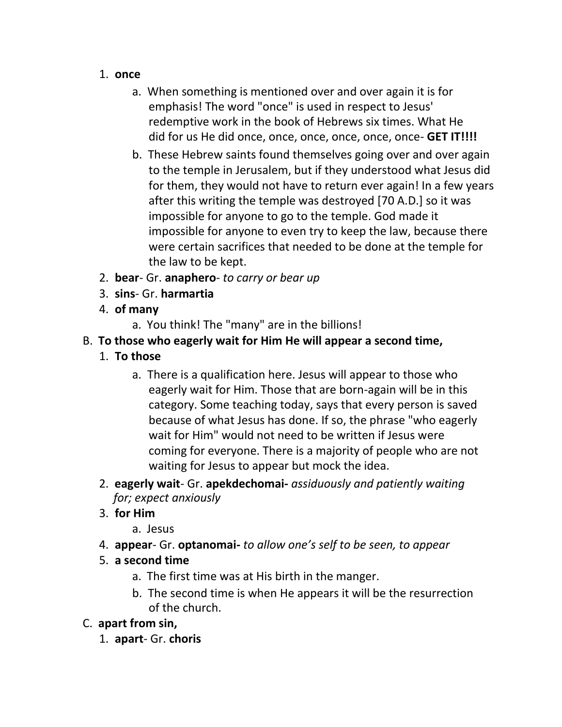- 1. **once**
	- a. When something is mentioned over and over again it is for emphasis! The word "once" is used in respect to Jesus' redemptive work in the book of Hebrews six times. What He did for us He did once, once, once, once, once, once- **GET IT!!!!**
	- b. These Hebrew saints found themselves going over and over again to the temple in Jerusalem, but if they understood what Jesus did for them, they would not have to return ever again! In a few years after this writing the temple was destroyed [70 A.D.] so it was impossible for anyone to go to the temple. God made it impossible for anyone to even try to keep the law, because there were certain sacrifices that needed to be done at the temple for the law to be kept.
- 2. **bear** Gr. **anaphero** *to carry or bear up*
- 3. **sins** Gr. **harmartia**
- 4. **of many**
	- a. You think! The "many" are in the billions!
- B. **To those who eagerly wait for Him He will appear a second time,**
	- 1. **To those**
		- a. There is a qualification here. Jesus will appear to those who eagerly wait for Him. Those that are born-again will be in this category. Some teaching today, says that every person is saved because of what Jesus has done. If so, the phrase "who eagerly wait for Him" would not need to be written if Jesus were coming for everyone. There is a majority of people who are not waiting for Jesus to appear but mock the idea.
	- 2. **eagerly wait** Gr. **apekdechomai-** *assiduously and patiently waiting for; expect anxiously*
	- 3. **for Him**
		- a. Jesus
	- 4. **appear** Gr. **optanomai-** *to allow one's self to be seen, to appear*
	- 5. **a second time**
		- a. The first time was at His birth in the manger.
		- b. The second time is when He appears it will be the resurrection of the church.
- C. **apart from sin,**
	- 1. **apart** Gr. **choris**